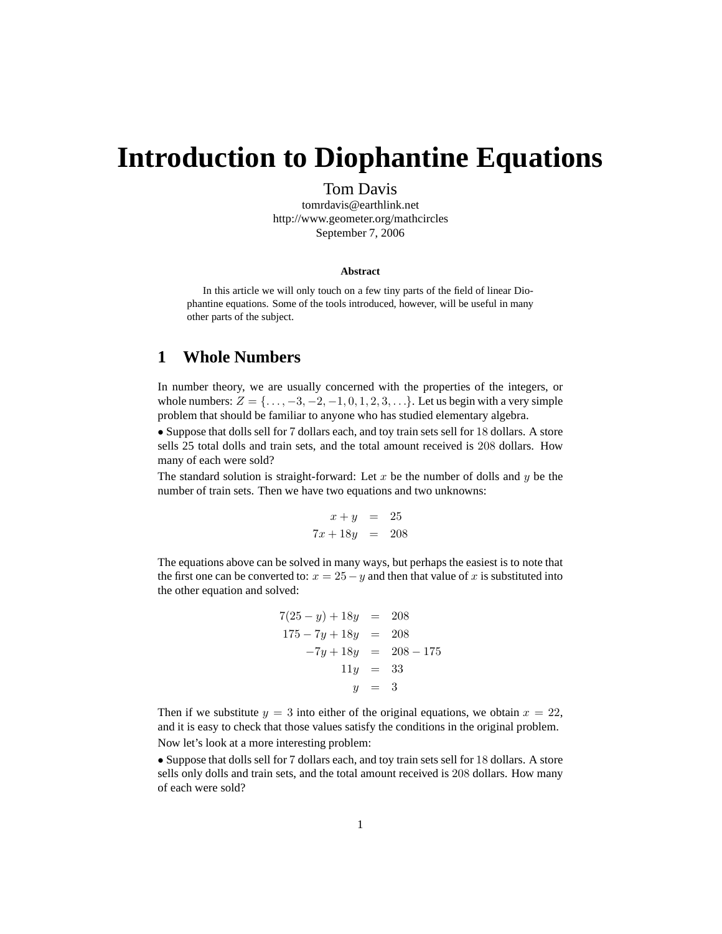# **Introduction to Diophantine Equations**

Tom Davis

tomrdavis@earthlink.net http://www.geometer.org/mathcircles September 7, 2006

#### **Abstract**

In this article we will only touch on a few tiny parts of the field of linear Diophantine equations. Some of the tools introduced, however, will be useful in many other parts of the subject.

# **1 Whole Numbers**

In number theory, we are usually concerned with the properties of the integers, or whole numbers:  $Z = \{..., -3, -2, -1, 0, 1, 2, 3, ...\}$ . Let us begin with a very simple problem that should be familiar to anyone who has studied elementary algebra.

• Suppose that dolls sell for 7 dollars each, and toy train sets sell for 18 dollars. A store sells 25 total dolls and train sets, and the total amount received is 208 dollars. How many of each were sold?

The standard solution is straight-forward: Let x be the number of dolls and  $y$  be the number of train sets. Then we have two equations and two unknowns:

$$
x + y = 25
$$
  

$$
7x + 18y = 208
$$

The equations above can be solved in many ways, but perhaps the easiest is to note that the first one can be converted to:  $x = 25 - y$  and then that value of x is substituted into the other equation and solved:

$$
7(25 - y) + 18y = 208
$$
  
\n
$$
175 - 7y + 18y = 208
$$
  
\n
$$
-7y + 18y = 208 - 175
$$
  
\n
$$
11y = 33
$$
  
\n
$$
y = 3
$$

Then if we substitute  $y = 3$  into either of the original equations, we obtain  $x = 22$ , and it is easy to check that those values satisfy the conditions in the original problem. Now let's look at a more interesting problem:

• Suppose that dolls sell for 7 dollars each, and toy train sets sell for 18 dollars. A store sells only dolls and train sets, and the total amount received is 208 dollars. How many of each were sold?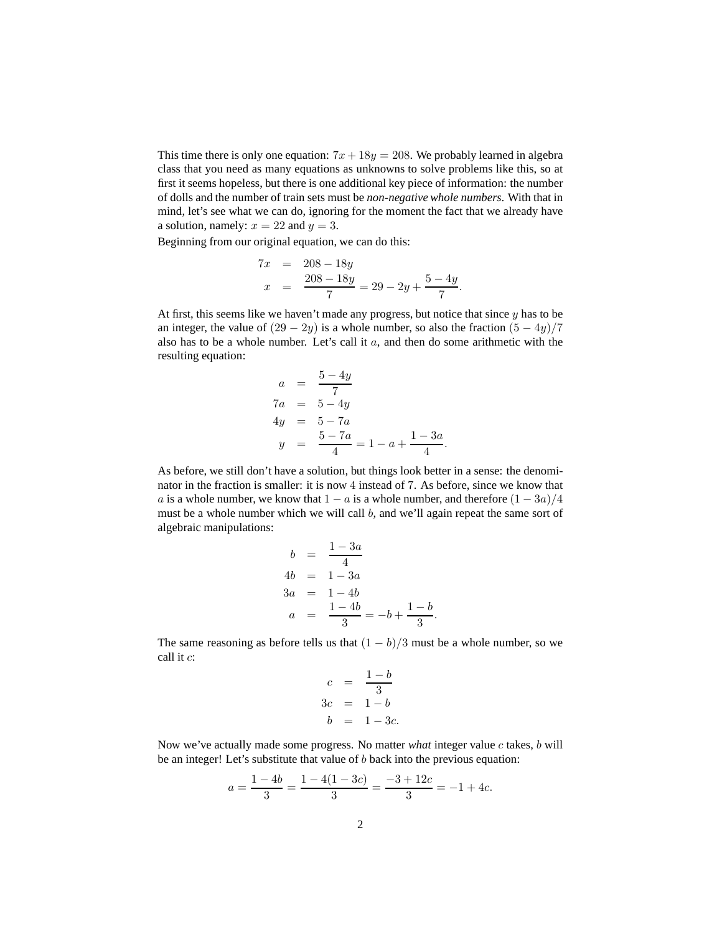This time there is only one equation:  $7x + 18y = 208$ . We probably learned in algebra class that you need as many equations as unknowns to solve problems like this, so at first it seems hopeless, but there is one additional key piece of information: the number of dolls and the number of train sets must be *non-negative whole numbers*. With that in mind, let's see what we can do, ignoring for the moment the fact that we already have a solution, namely:  $x = 22$  and  $y = 3$ .

Beginning from our original equation, we can do this:

$$
7x = 208 - 18y
$$
  

$$
x = \frac{208 - 18y}{7} = 29 - 2y + \frac{5 - 4y}{7}
$$

.

At first, this seems like we haven't made any progress, but notice that since  $y$  has to be an integer, the value of  $(29 - 2y)$  is a whole number, so also the fraction  $(5 - 4y)/7$ also has to be a whole number. Let's call it a, and then do some arithmetic with the resulting equation:

$$
a = \frac{5 - 4y}{7}
$$
  
\n
$$
7a = 5 - 4y
$$
  
\n
$$
4y = 5 - 7a
$$
  
\n
$$
y = \frac{5 - 7a}{4} = 1 - a + \frac{1 - 3a}{4}.
$$

As before, we still don't have a solution, but things look better in a sense: the denominator in the fraction is smaller: it is now 4 instead of 7. As before, since we know that a is a whole number, we know that  $1 - a$  is a whole number, and therefore  $(1 - 3a)/4$ must be a whole number which we will call b, and we'll again repeat the same sort of algebraic manipulations:

$$
b = \frac{1 - 3a}{4}
$$
  
\n
$$
4b = 1 - 3a
$$
  
\n
$$
3a = 1 - 4b
$$
  
\n
$$
a = \frac{1 - 4b}{3} = -b + \frac{1 - b}{3}.
$$

The same reasoning as before tells us that  $(1 - b)/3$  must be a whole number, so we call it c:

$$
c = \frac{1-b}{3}
$$
  

$$
3c = 1-b
$$
  

$$
b = 1-3c.
$$

Now we've actually made some progress. No matter *what* integer value c takes, b will be an integer! Let's substitute that value of b back into the previous equation:

$$
a = \frac{1 - 4b}{3} = \frac{1 - 4(1 - 3c)}{3} = \frac{-3 + 12c}{3} = -1 + 4c.
$$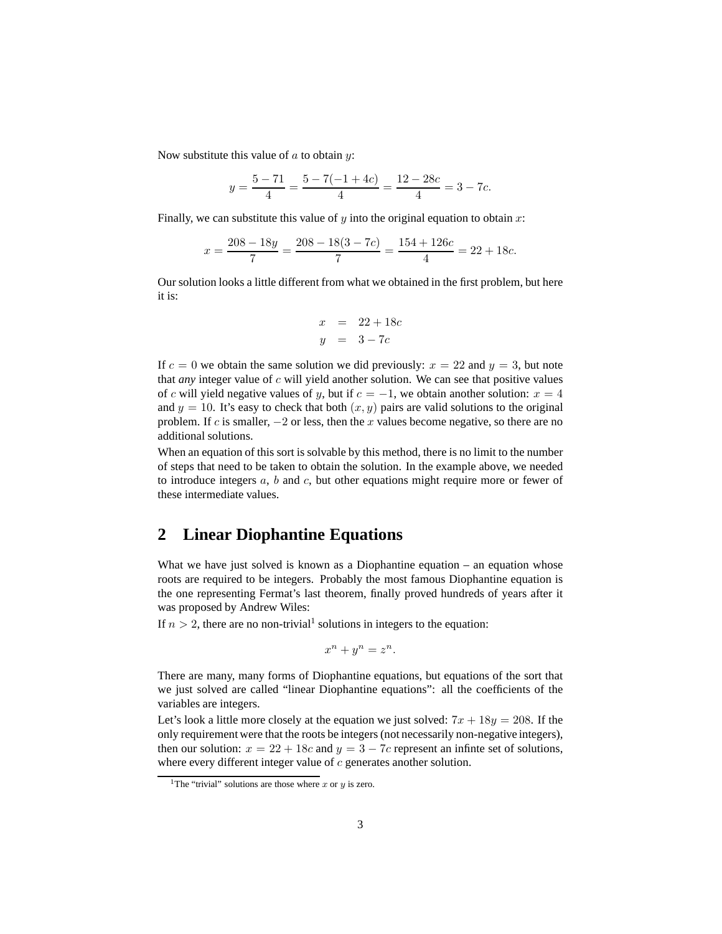Now substitute this value of  $a$  to obtain  $y$ :

$$
y = \frac{5 - 71}{4} = \frac{5 - 7(-1 + 4c)}{4} = \frac{12 - 28c}{4} = 3 - 7c.
$$

Finally, we can substitute this value of  $y$  into the original equation to obtain  $x$ :

$$
x = \frac{208 - 18y}{7} = \frac{208 - 18(3 - 7c)}{7} = \frac{154 + 126c}{4} = 22 + 18c.
$$

Our solution looks a little different from what we obtained in the first problem, but here it is:

$$
x = 22 + 18c
$$
  

$$
y = 3 - 7c
$$

If  $c = 0$  we obtain the same solution we did previously:  $x = 22$  and  $y = 3$ , but note that *any* integer value of c will yield another solution. We can see that positive values of c will yield negative values of y, but if  $c = -1$ , we obtain another solution:  $x = 4$ and  $y = 10$ . It's easy to check that both  $(x, y)$  pairs are valid solutions to the original problem. If c is smaller,  $-2$  or less, then the x values become negative, so there are no additional solutions.

When an equation of this sort is solvable by this method, there is no limit to the number of steps that need to be taken to obtain the solution. In the example above, we needed to introduce integers  $a, b$  and  $c$ , but other equations might require more or fewer of these intermediate values.

### **2 Linear Diophantine Equations**

What we have just solved is known as a Diophantine equation – an equation whose roots are required to be integers. Probably the most famous Diophantine equation is the one representing Fermat's last theorem, finally proved hundreds of years after it was proposed by Andrew Wiles:

If  $n > 2$ , there are no non-trivial<sup>1</sup> solutions in integers to the equation:

$$
x^n + y^n = z^n.
$$

There are many, many forms of Diophantine equations, but equations of the sort that we just solved are called "linear Diophantine equations": all the coefficients of the variables are integers.

Let's look a little more closely at the equation we just solved:  $7x + 18y = 208$ . If the only requirement were that the roots be integers (not necessarily non-negative integers), then our solution:  $x = 22 + 18c$  and  $y = 3 - 7c$  represent an infinite set of solutions, where every different integer value of  $c$  generates another solution.

<sup>&</sup>lt;sup>1</sup>The "trivial" solutions are those where x or y is zero.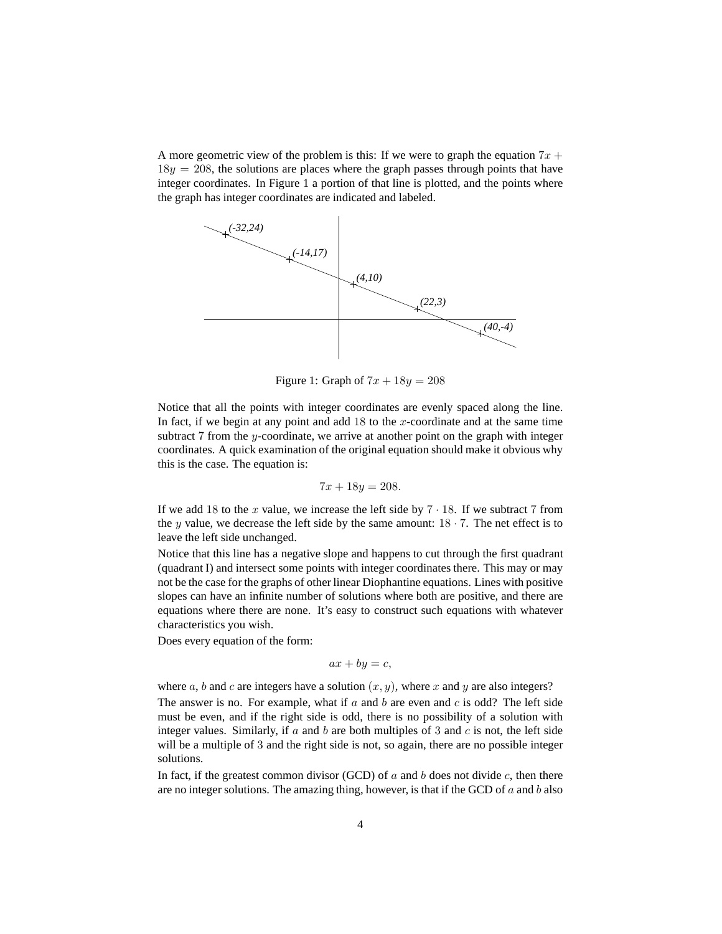A more geometric view of the problem is this: If we were to graph the equation  $7x +$  $18y = 208$ , the solutions are places where the graph passes through points that have integer coordinates. In Figure 1 a portion of that line is plotted, and the points where the graph has integer coordinates are indicated and labeled.



Figure 1: Graph of  $7x + 18y = 208$ 

Notice that all the points with integer coordinates are evenly spaced along the line. In fact, if we begin at any point and add  $18$  to the x-coordinate and at the same time subtract  $7$  from the y-coordinate, we arrive at another point on the graph with integer coordinates. A quick examination of the original equation should make it obvious why this is the case. The equation is:

$$
7x + 18y = 208.
$$

If we add 18 to the x value, we increase the left side by  $7 \cdot 18$ . If we subtract 7 from the y value, we decrease the left side by the same amount:  $18 \cdot 7$ . The net effect is to leave the left side unchanged.

Notice that this line has a negative slope and happens to cut through the first quadrant (quadrant I) and intersect some points with integer coordinates there. This may or may not be the case for the graphs of other linear Diophantine equations. Lines with positive slopes can have an infinite number of solutions where both are positive, and there are equations where there are none. It's easy to construct such equations with whatever characteristics you wish.

Does every equation of the form:

$$
ax + by = c,
$$

where a, b and c are integers have a solution  $(x, y)$ , where x and y are also integers? The answer is no. For example, what if  $a$  and  $b$  are even and  $c$  is odd? The left side must be even, and if the right side is odd, there is no possibility of a solution with integer values. Similarly, if a and b are both multiples of 3 and c is not, the left side will be a multiple of 3 and the right side is not, so again, there are no possible integer solutions.

In fact, if the greatest common divisor (GCD) of a and b does not divide c, then there are no integer solutions. The amazing thing, however, is that if the GCD of  $a$  and  $b$  also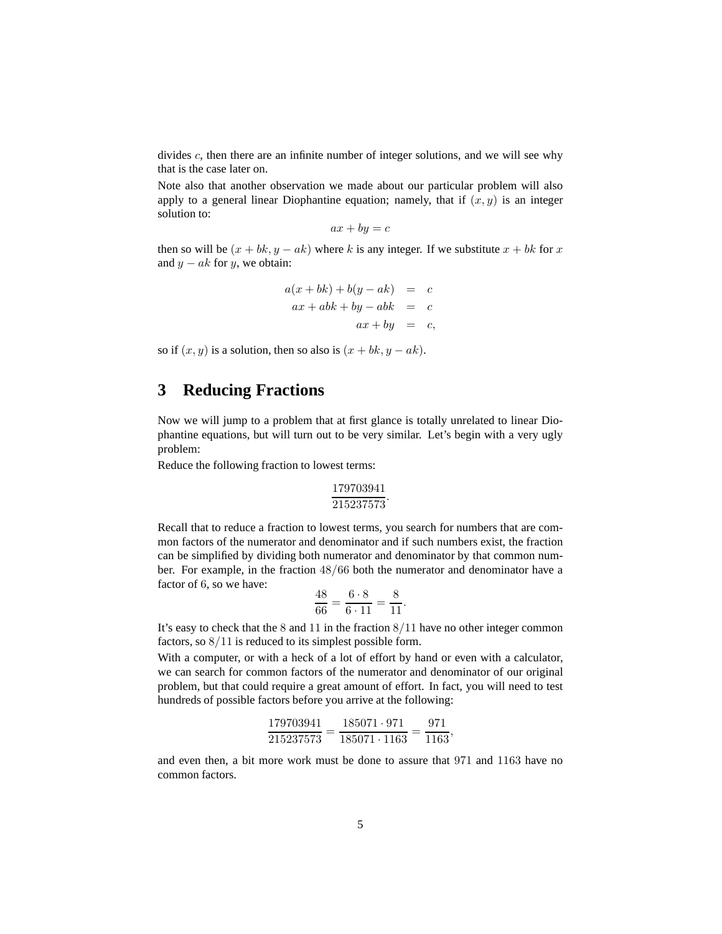divides  $c$ , then there are an infinite number of integer solutions, and we will see why that is the case later on.

Note also that another observation we made about our particular problem will also apply to a general linear Diophantine equation; namely, that if  $(x, y)$  is an integer solution to:

$$
ax + by = c
$$

then so will be  $(x + bk, y - ak)$  where k is any integer. If we substitute  $x + bk$  for x and  $y - ak$  for y, we obtain:

$$
a(x + bk) + b(y - ak) = c
$$
  
\n
$$
ax + abk + by - abk = c
$$
  
\n
$$
ax + by = c,
$$

so if  $(x, y)$  is a solution, then so also is  $(x + bk, y - ak)$ .

# **3 Reducing Fractions**

Now we will jump to a problem that at first glance is totally unrelated to linear Diophantine equations, but will turn out to be very similar. Let's begin with a very ugly problem:

Reduce the following fraction to lowest terms:

$$
\frac{179703941}{215237573}.
$$

Recall that to reduce a fraction to lowest terms, you search for numbers that are common factors of the numerator and denominator and if such numbers exist, the fraction can be simplified by dividing both numerator and denominator by that common number. For example, in the fraction 48/66 both the numerator and denominator have a factor of 6, so we have:

$$
\frac{48}{66} = \frac{6 \cdot 8}{6 \cdot 11} = \frac{8}{11}.
$$

It's easy to check that the 8 and 11 in the fraction 8/11 have no other integer common factors, so 8/11 is reduced to its simplest possible form.

With a computer, or with a heck of a lot of effort by hand or even with a calculator, we can search for common factors of the numerator and denominator of our original problem, but that could require a great amount of effort. In fact, you will need to test hundreds of possible factors before you arrive at the following:

$$
\frac{179703941}{215237573} = \frac{185071 \cdot 971}{185071 \cdot 1163} = \frac{971}{1163},
$$

and even then, a bit more work must be done to assure that 971 and 1163 have no common factors.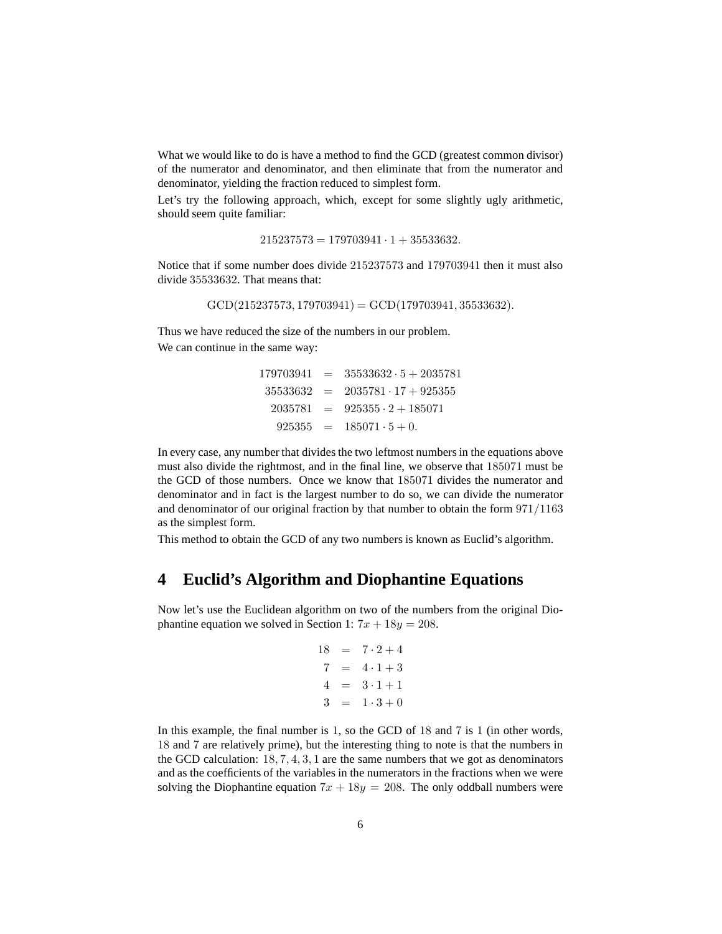What we would like to do is have a method to find the GCD (greatest common divisor) of the numerator and denominator, and then eliminate that from the numerator and denominator, yielding the fraction reduced to simplest form.

Let's try the following approach, which, except for some slightly ugly arithmetic, should seem quite familiar:

 $215237573 = 179703941 \cdot 1 + 35533632.$ 

Notice that if some number does divide 215237573 and 179703941 then it must also divide 35533632. That means that:

 $GCD(215237573, 179703941) = GCD(179703941, 35533632).$ 

Thus we have reduced the size of the numbers in our problem. We can continue in the same way:

|  | $179703941 = 35533632 \cdot 5 + 2035781$ |
|--|------------------------------------------|
|  | $35533632 = 2035781 \cdot 17 + 925355$   |
|  | $2035781 = 925355 \cdot 2 + 185071$      |
|  | $925355 = 185071 \cdot 5 + 0.$           |

In every case, any number that divides the two leftmost numbers in the equations above must also divide the rightmost, and in the final line, we observe that 185071 must be the GCD of those numbers. Once we know that 185071 divides the numerator and denominator and in fact is the largest number to do so, we can divide the numerator and denominator of our original fraction by that number to obtain the form 971/1163 as the simplest form.

This method to obtain the GCD of any two numbers is known as Euclid's algorithm.

#### **4 Euclid's Algorithm and Diophantine Equations**

Now let's use the Euclidean algorithm on two of the numbers from the original Diophantine equation we solved in Section 1:  $7x + 18y = 208$ .

$$
18 = 7 \cdot 2 + 4
$$
  
\n
$$
7 = 4 \cdot 1 + 3
$$
  
\n
$$
4 = 3 \cdot 1 + 1
$$
  
\n
$$
3 = 1 \cdot 3 + 0
$$

In this example, the final number is 1, so the GCD of 18 and 7 is 1 (in other words, 18 and 7 are relatively prime), but the interesting thing to note is that the numbers in the GCD calculation:  $18, 7, 4, 3, 1$  are the same numbers that we got as denominators and as the coefficients of the variables in the numerators in the fractions when we were solving the Diophantine equation  $7x + 18y = 208$ . The only oddball numbers were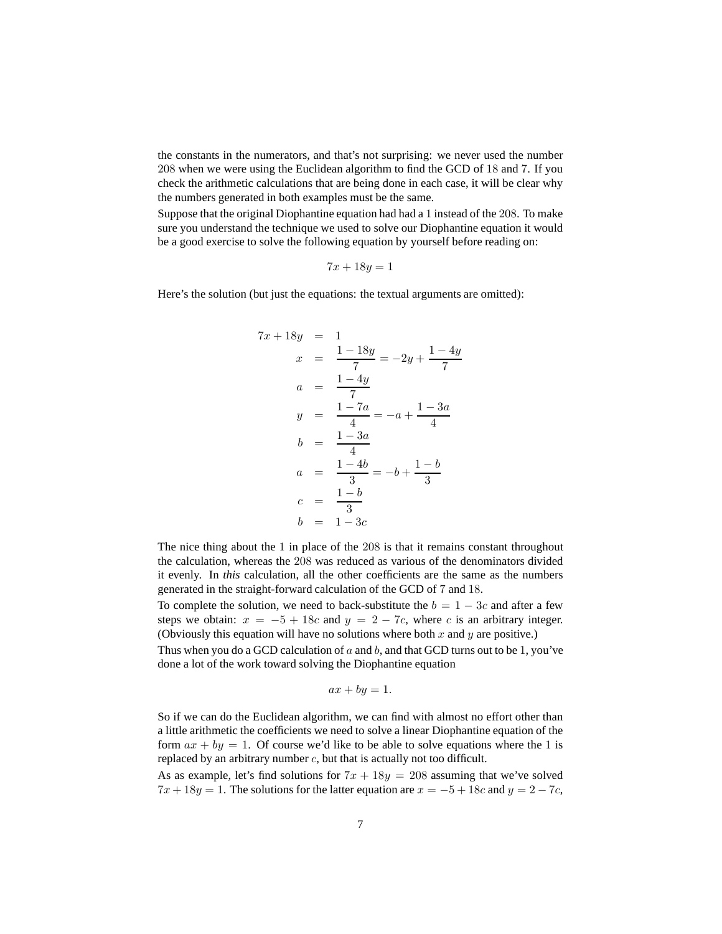the constants in the numerators, and that's not surprising: we never used the number 208 when we were using the Euclidean algorithm to find the GCD of 18 and 7. If you check the arithmetic calculations that are being done in each case, it will be clear why the numbers generated in both examples must be the same.

Suppose that the original Diophantine equation had had a 1 instead of the 208. To make sure you understand the technique we used to solve our Diophantine equation it would be a good exercise to solve the following equation by yourself before reading on:

$$
7x + 18y = 1
$$

Here's the solution (but just the equations: the textual arguments are omitted):

$$
7x + 18y = 1
$$
  
\n
$$
x = \frac{1 - 18y}{7} = -2y + \frac{1 - 4y}{7}
$$
  
\n
$$
a = \frac{1 - 4y}{7}
$$
  
\n
$$
y = \frac{1 - 7a}{4} = -a + \frac{1 - 3a}{4}
$$
  
\n
$$
b = \frac{1 - 3a}{4}
$$
  
\n
$$
a = \frac{1 - 4b}{3} = -b + \frac{1 - b}{3}
$$
  
\n
$$
c = \frac{1 - b}{3}
$$
  
\n
$$
b = 1 - 3c
$$

The nice thing about the 1 in place of the 208 is that it remains constant throughout the calculation, whereas the 208 was reduced as various of the denominators divided it evenly. In *this* calculation, all the other coefficients are the same as the numbers generated in the straight-forward calculation of the GCD of 7 and 18.

To complete the solution, we need to back-substitute the  $b = 1 - 3c$  and after a few steps we obtain:  $x = -5 + 18c$  and  $y = 2 - 7c$ , where c is an arbitrary integer. (Obviously this equation will have no solutions where both  $x$  and  $y$  are positive.)

Thus when you do a GCD calculation of  $a$  and  $b$ , and that GCD turns out to be 1, you've done a lot of the work toward solving the Diophantine equation

$$
ax + by = 1.
$$

So if we can do the Euclidean algorithm, we can find with almost no effort other than a little arithmetic the coefficients we need to solve a linear Diophantine equation of the form  $ax + by = 1$ . Of course we'd like to be able to solve equations where the 1 is replaced by an arbitrary number  $c$ , but that is actually not too difficult.

As as example, let's find solutions for  $7x + 18y = 208$  assuming that we've solved  $7x + 18y = 1$ . The solutions for the latter equation are  $x = -5 + 18c$  and  $y = 2 - 7c$ ,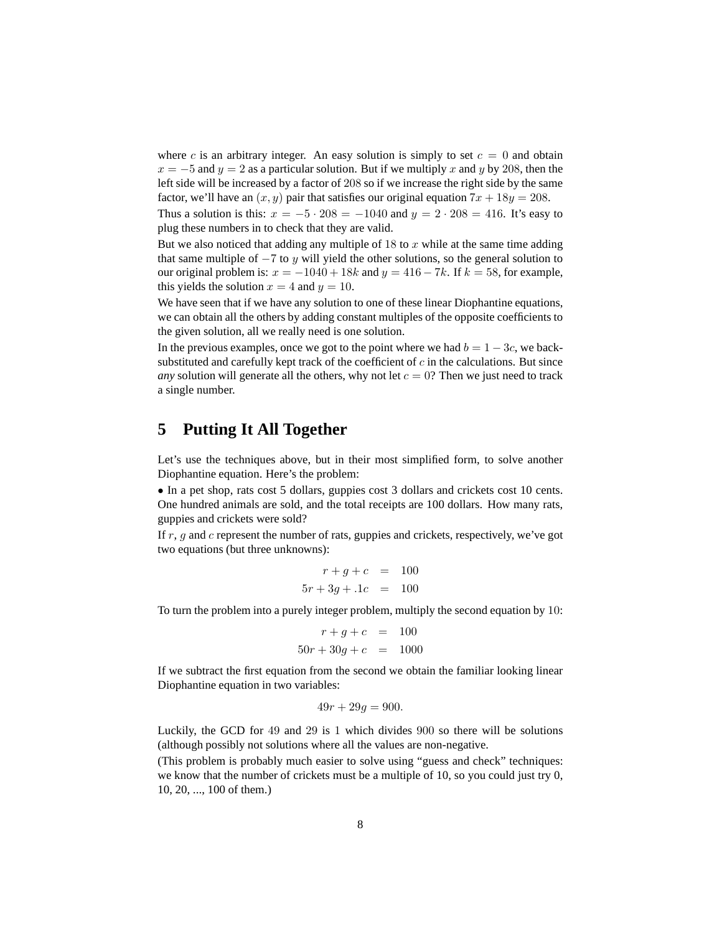where c is an arbitrary integer. An easy solution is simply to set  $c = 0$  and obtain  $x = -5$  and  $y = 2$  as a particular solution. But if we multiply x and y by 208, then the left side will be increased by a factor of 208 so if we increase the right side by the same factor, we'll have an  $(x, y)$  pair that satisfies our original equation  $7x + 18y = 208$ .

Thus a solution is this:  $x = -5 \cdot 208 = -1040$  and  $y = 2 \cdot 208 = 416$ . It's easy to plug these numbers in to check that they are valid.

But we also noticed that adding any multiple of  $18$  to x while at the same time adding that same multiple of  $-7$  to y will yield the other solutions, so the general solution to our original problem is:  $x = -1040 + 18k$  and  $y = 416 - 7k$ . If  $k = 58$ , for example, this yields the solution  $x = 4$  and  $y = 10$ .

We have seen that if we have any solution to one of these linear Diophantine equations, we can obtain all the others by adding constant multiples of the opposite coefficients to the given solution, all we really need is one solution.

In the previous examples, once we got to the point where we had  $b = 1 - 3c$ , we backsubstituted and carefully kept track of the coefficient of  $c$  in the calculations. But since *any* solution will generate all the others, why not let  $c = 0$ ? Then we just need to track a single number.

# **5 Putting It All Together**

Let's use the techniques above, but in their most simplified form, to solve another Diophantine equation. Here's the problem:

• In a pet shop, rats cost 5 dollars, guppies cost 3 dollars and crickets cost 10 cents. One hundred animals are sold, and the total receipts are 100 dollars. How many rats, guppies and crickets were sold?

If r, q and c represent the number of rats, guppies and crickets, respectively, we've got two equations (but three unknowns):

$$
r + g + c = 100
$$
  

$$
5r + 3g + 1c = 100
$$

To turn the problem into a purely integer problem, multiply the second equation by 10:

$$
r + g + c = 100
$$
  

$$
50r + 30g + c = 1000
$$

If we subtract the first equation from the second we obtain the familiar looking linear Diophantine equation in two variables:

$$
49r + 29g = 900.
$$

Luckily, the GCD for 49 and 29 is 1 which divides 900 so there will be solutions (although possibly not solutions where all the values are non-negative.

(This problem is probably much easier to solve using "guess and check" techniques: we know that the number of crickets must be a multiple of 10, so you could just try 0, 10, 20, ..., 100 of them.)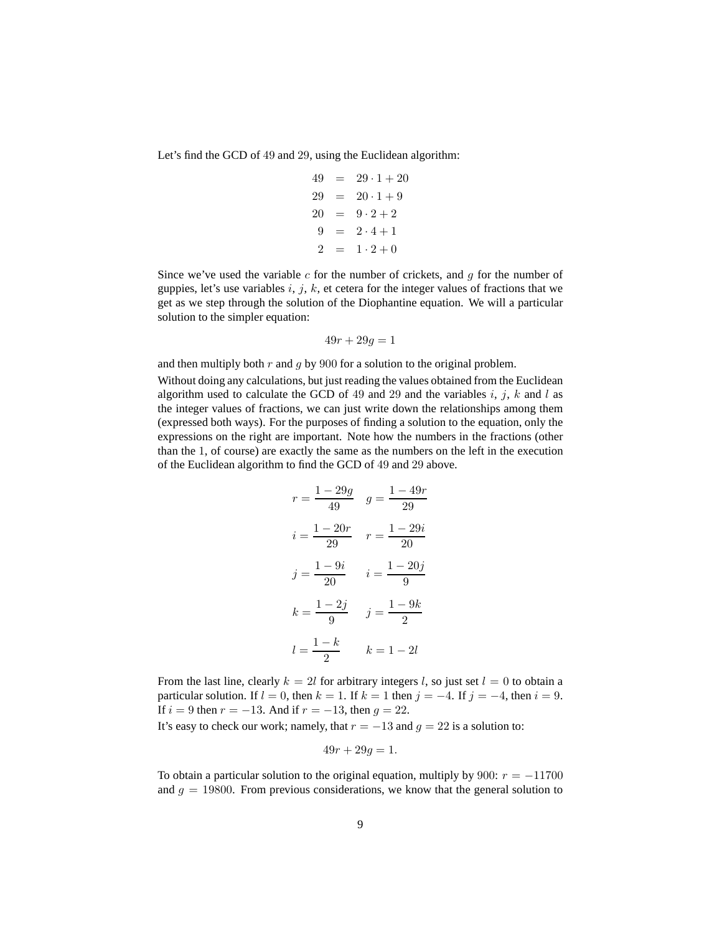Let's find the GCD of 49 and 29, using the Euclidean algorithm:

$$
49 = 29 \cdot 1 + 20
$$
  
\n
$$
29 = 20 \cdot 1 + 9
$$
  
\n
$$
20 = 9 \cdot 2 + 2
$$
  
\n
$$
9 = 2 \cdot 4 + 1
$$
  
\n
$$
2 = 1 \cdot 2 + 0
$$

Since we've used the variable  $c$  for the number of crickets, and  $g$  for the number of guppies, let's use variables  $i, j, k$ , et cetera for the integer values of fractions that we get as we step through the solution of the Diophantine equation. We will a particular solution to the simpler equation:

$$
49r + 29g = 1
$$

and then multiply both  $r$  and  $g$  by 900 for a solution to the original problem.

Without doing any calculations, but just reading the values obtained from the Euclidean algorithm used to calculate the GCD of 49 and 29 and the variables  $i, j, k$  and l as the integer values of fractions, we can just write down the relationships among them (expressed both ways). For the purposes of finding a solution to the equation, only the expressions on the right are important. Note how the numbers in the fractions (other than the 1, of course) are exactly the same as the numbers on the left in the execution of the Euclidean algorithm to find the GCD of 49 and 29 above.

$$
r = \frac{1 - 29g}{49} \quad g = \frac{1 - 49r}{29}
$$

$$
i = \frac{1 - 20r}{29} \quad r = \frac{1 - 29i}{20}
$$

$$
j = \frac{1 - 9i}{20} \quad i = \frac{1 - 20j}{9}
$$

$$
k = \frac{1 - 2j}{9} \quad j = \frac{1 - 9k}{2}
$$

$$
l = \frac{1 - k}{2} \quad k = 1 - 2l
$$

From the last line, clearly  $k = 2l$  for arbitrary integers l, so just set  $l = 0$  to obtain a particular solution. If  $l = 0$ , then  $k = 1$ . If  $k = 1$  then  $j = -4$ . If  $j = -4$ , then  $i = 9$ . If  $i = 9$  then  $r = -13$ . And if  $r = -13$ , then  $g = 22$ .

It's easy to check our work; namely, that  $r = -13$  and  $q = 22$  is a solution to:

$$
49r + 29g = 1.
$$

To obtain a particular solution to the original equation, multiply by 900:  $r = -11700$ and  $g = 19800$ . From previous considerations, we know that the general solution to